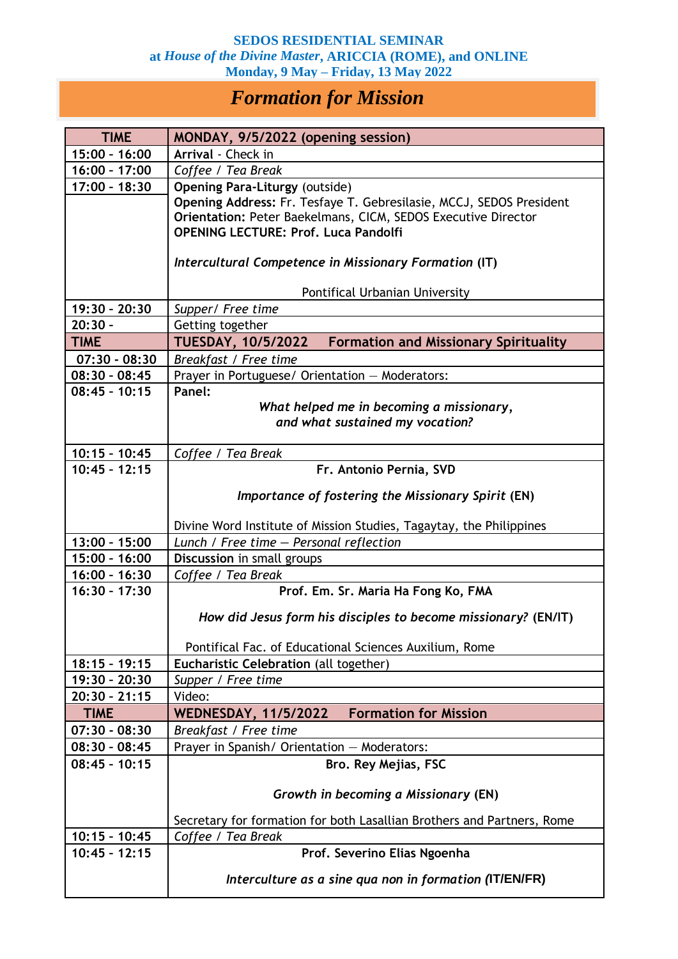## **SEDOS RESIDENTIAL SEMINAR at** *House of the Divine Master***, ARICCIA (ROME), and ONLINE Monday, 9 May – Friday, 13 May 2022**

## *Formation for Mission*

| <b>TIME</b>                        | MONDAY, 9/5/2022 (opening session)                                     |
|------------------------------------|------------------------------------------------------------------------|
| 15:00 - 16:00                      | Arrival - Check in                                                     |
| $16:00 - 17:00$                    | Coffee / Tea Break                                                     |
| 17:00 - 18:30                      | <b>Opening Para-Liturgy (outside)</b>                                  |
|                                    | Opening Address: Fr. Tesfaye T. Gebresilasie, MCCJ, SEDOS President    |
|                                    | Orientation: Peter Baekelmans, CICM, SEDOS Executive Director          |
|                                    | <b>OPENING LECTURE: Prof. Luca Pandolfi</b>                            |
|                                    | Intercultural Competence in Missionary Formation (IT)                  |
|                                    | Pontifical Urbanian University                                         |
| 19:30 - 20:30                      | Supper/ Free time                                                      |
| $20:30 -$                          | Getting together                                                       |
| <b>TIME</b>                        | TUESDAY, 10/5/2022 Formation and Missionary Spirituality               |
| $07:30 - 08:30$                    | Breakfast / Free time                                                  |
| $08:30 - 08:45$                    | Prayer in Portuguese/ Orientation - Moderators:                        |
| $08:45 - 10:15$                    | Panel:                                                                 |
|                                    | What helped me in becoming a missionary,                               |
|                                    | and what sustained my vocation?                                        |
|                                    |                                                                        |
| $10:15 - 10:45$<br>$10:45 - 12:15$ | Coffee / Tea Break                                                     |
|                                    | Fr. Antonio Pernia, SVD                                                |
|                                    | Importance of fostering the Missionary Spirit (EN)                     |
|                                    | Divine Word Institute of Mission Studies, Tagaytay, the Philippines    |
| $13:00 - 15:00$                    | Lunch / Free time $-$ Personal reflection                              |
| 15:00 - 16:00                      | Discussion in small groups                                             |
| $16:00 - 16:30$                    | Coffee / Tea Break                                                     |
| $16:30 - 17:30$                    | Prof. Em. Sr. Maria Ha Fong Ko, FMA                                    |
|                                    | How did Jesus form his disciples to become missionary? (EN/IT)         |
|                                    | Pontifical Fac. of Educational Sciences Auxilium, Rome                 |
| $18:15 - 19:15$                    | Eucharistic Celebration (all together)                                 |
| 19:30 - 20:30                      | Supper / Free time                                                     |
| $20:30 - 21:15$                    | Video:                                                                 |
| <b>TIME</b>                        | <b>Formation for Mission</b><br><b>WEDNESDAY, 11/5/2022</b>            |
| $07:30 - 08:30$                    | Breakfast / Free time                                                  |
| $08:30 - 08:45$                    | Prayer in Spanish/ Orientation - Moderators:                           |
| $08:45 - 10:15$                    | <b>Bro. Rey Mejias, FSC</b>                                            |
|                                    |                                                                        |
|                                    | Growth in becoming a Missionary (EN)                                   |
|                                    | Secretary for formation for both Lasallian Brothers and Partners, Rome |
| $10:15 - 10:45$                    | Coffee / Tea Break                                                     |
| $10:45 - 12:15$                    | Prof. Severino Elias Ngoenha                                           |
|                                    | Interculture as a sine qua non in formation (IT/EN/FR)                 |